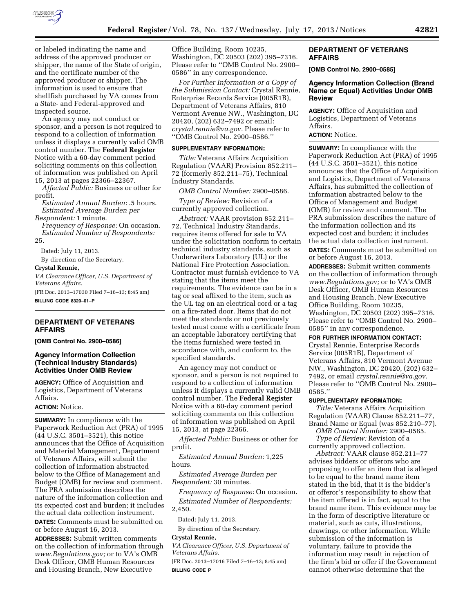

or labeled indicating the name and address of the approved producer or shipper, the name of the State of origin, and the certificate number of the approved producer or shipper. The information is used to ensure that shellfish purchased by VA comes from a State- and Federal-approved and inspected source.

An agency may not conduct or sponsor, and a person is not required to respond to a collection of information unless it displays a currently valid OMB control number. The **Federal Register**  Notice with a 60-day comment period soliciting comments on this collection of information was published on April 15, 2013 at pages 22366–22367.

*Affected Public:* Business or other for profit.

*Estimated Annual Burden:* .5 hours. *Estimated Average Burden per Respondent:* 1 minute.

*Frequency of Response:* On occasion. *Estimated Number of Respondents:*  25.

Dated: July 11, 2013.

By direction of the Secretary.

# **Crystal Rennie,**

*VA Clearance Officer, U.S. Department of Veterans Affairs.* 

[FR Doc. 2013–17030 Filed 7–16–13; 8:45 am] **BILLING CODE 8320–01–P** 

## **DEPARTMENT OF VETERANS AFFAIRS**

**[OMB Control No. 2900–0586]** 

## **Agency Information Collection (Technical Industry Standards) Activities Under OMB Review**

**AGENCY:** Office of Acquisition and Logistics, Department of Veterans Affairs.

# **ACTION:** Notice.

**SUMMARY:** In compliance with the Paperwork Reduction Act (PRA) of 1995 (44 U.S.C. 3501–3521), this notice announces that the Office of Acquisition and Materiel Management, Department of Veterans Affairs, will submit the collection of information abstracted below to the Office of Management and Budget (OMB) for review and comment. The PRA submission describes the nature of the information collection and its expected cost and burden; it includes the actual data collection instrument. **DATES:** Comments must be submitted on or before August 16, 2013.

**ADDRESSES:** Submit written comments on the collection of information through *[www.Regulations.gov;](http://www.Regulations.gov)* or to VA's OMB Desk Officer, OMB Human Resources and Housing Branch, New Executive

Office Building, Room 10235, Washington, DC 20503 (202) 395–7316. Please refer to ''OMB Control No. 2900– 0586'' in any correspondence.

*For Further Information or a Copy of the Submission Contact:* Crystal Rennie, Enterprise Records Service (005R1B), Department of Veterans Affairs, 810 Vermont Avenue NW., Washington, DC 20420, (202) 632–7492 or email: *[crystal.rennie@va.gov.](mailto:crystal.rennie@va.gov)* Please refer to ''OMB Control No. 2900–0586.''

### **SUPPLEMENTARY INFORMATION:**

*Title:* Veterans Affairs Acquisition Regulation (VAAR) Provision 852.211– 72 (formerly 852.211–75), Technical Industry Standards.

*OMB Control Number:* 2900–0586.

*Type of Review:* Revision of a currently approved collection.

*Abstract:* VAAR provision 852.211– 72, Technical Industry Standards, requires items offered for sale to VA under the solicitation conform to certain technical industry standards, such as Underwriters Laboratory (UL) or the National Fire Protection Association. Contractor must furnish evidence to VA stating that the items meet the requirements. The evidence can be in a tag or seal affixed to the item, such as the UL tag on an electrical cord or a tag on a fire-rated door. Items that do not meet the standards or not previously tested must come with a certificate from an acceptable laboratory certifying that the items furnished were tested in accordance with, and conform to, the specified standards.

An agency may not conduct or sponsor, and a person is not required to respond to a collection of information unless it displays a currently valid OMB control number. The **Federal Register**  Notice with a 60-day comment period soliciting comments on this collection of information was published on April 15, 2013, at page 22366.

*Affected Public:* Business or other for profit.

*Estimated Annual Burden:* 1,225 hours.

*Estimated Average Burden per Respondent:* 30 minutes.

*Frequency of Response:* On occasion.

*Estimated Number of Respondents:*  2,450.

Dated: July 11, 2013.

By direction of the Secretary.

### **Crystal Rennie,**

*VA Clearance Officer, U.S. Department of Veterans Affairs.* 

[FR Doc. 2013–17016 Filed 7–16–13; 8:45 am] **BILLING CODE P** 

### **DEPARTMENT OF VETERANS AFFAIRS**

**[OMB Control No. 2900–0585]** 

# **Agency Information Collection (Brand Name or Equal) Activities Under OMB Review**

**AGENCY:** Office of Acquisition and Logistics, Department of Veterans Affairs.

# **ACTION:** Notice.

**SUMMARY:** In compliance with the Paperwork Reduction Act (PRA) of 1995 (44 U.S.C. 3501–3521), this notice announces that the Office of Acquisition and Logistics, Department of Veterans Affairs, has submitted the collection of information abstracted below to the Office of Management and Budget (OMB) for review and comment. The PRA submission describes the nature of the information collection and its expected cost and burden; it includes the actual data collection instrument. **DATES:** Comments must be submitted on or before August 16, 2013.

**ADDRESSES:** Submit written comments on the collection of information through *[www.Regulations.gov;](http://www.Regulations.gov)* or to VA's OMB Desk Officer, OMB Human Resources and Housing Branch, New Executive Office Building, Room 10235, Washington, DC 20503 (202) 395–7316. Please refer to ''OMB Control No. 2900– 0585'' in any correspondence.

#### **FOR FURTHER INFORMATION CONTACT:**

Crystal Rennie, Enterprise Records Service (005R1B), Department of Veterans Affairs, 810 Vermont Avenue NW., Washington, DC 20420, (202) 632– 7492, or email *[crystal.rennie@va.gov.](mailto:crystal.rennie@va.gov)*  Please refer to ''OMB Control No. 2900– 0585.''

### **SUPPLEMENTARY INFORMATION:**

*Title:* Veterans Affairs Acquisition Regulation (VAAR) Clause 852.211–77, Brand Name or Equal (was 852.210–77).

*OMB Control Number:* 2900–0585. *Type of Review:* Revision of a currently approved collection.

*Abstract:* VAAR clause 852.211–77 advises bidders or offerors who are proposing to offer an item that is alleged to be equal to the brand name item stated in the bid, that it is the bidder's or offeror's responsibility to show that the item offered is in fact, equal to the brand name item. This evidence may be in the form of descriptive literature or material, such as cuts, illustrations, drawings, or other information. While submission of the information is voluntary, failure to provide the information may result in rejection of the firm's bid or offer if the Government cannot otherwise determine that the